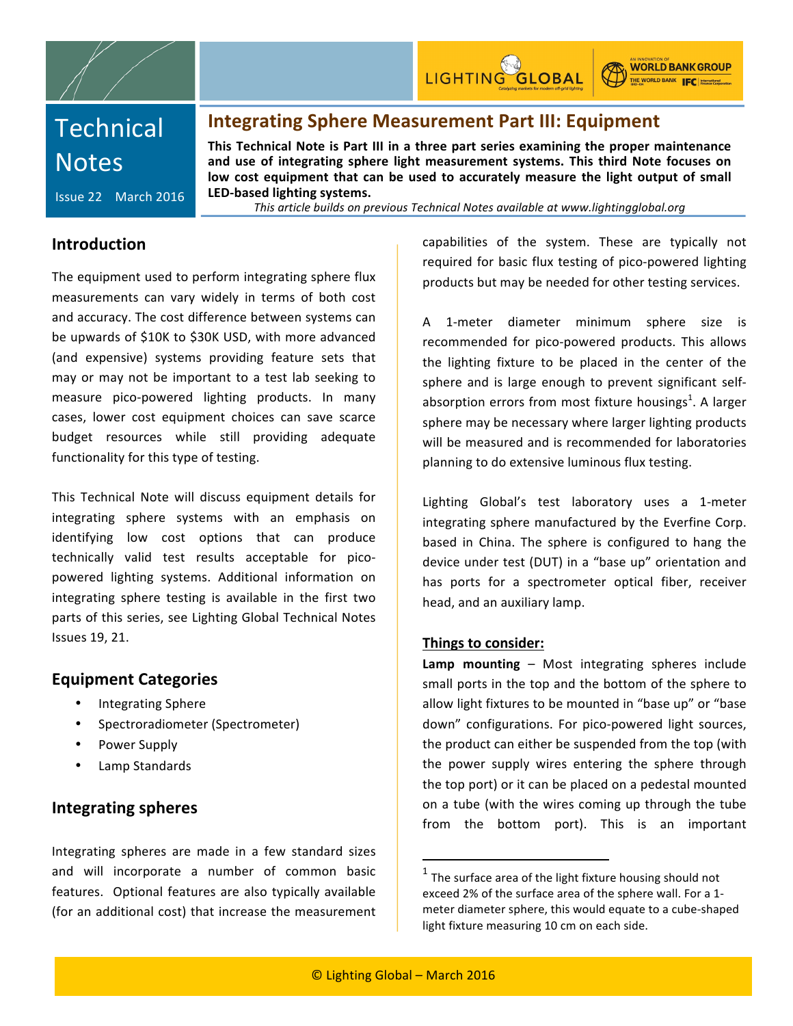

**WORLD BANK GROUP** THE WORLD BANK **IFC** International

# **Technical Notes**

# **Integrating Sphere Measurement Part III: Equipment**

This Technical Note is Part III in a three part series examining the proper maintenance and use of integrating sphere light measurement systems. This third Note focuses on low cost equipment that can be used to accurately measure the light output of small LED-based lighting systems.

Issue 22 March 2016

*This%article%builds%on%previous%Technical%Notes%available%at%www.lightingglobal.org*

### **Introduction**

The equipment used to perform integrating sphere flux measurements can vary widely in terms of both cost and accuracy. The cost difference between systems can be upwards of \$10K to \$30K USD, with more advanced (and expensive) systems providing feature sets that may or may not be important to a test lab seeking to measure pico-powered lighting products. In many cases, lower cost equipment choices can save scarce budget resources while still providing adequate functionality for this type of testing.

This Technical Note will discuss equipment details for integrating sphere systems with an emphasis on identifying low cost options that can produce technically valid test results acceptable for picopowered lighting systems. Additional information on integrating sphere testing is available in the first two parts of this series, see Lighting Global Technical Notes **Issues 19, 21.** 

# **Equipment Categories**

- Integrating Sphere
- Spectroradiometer (Spectrometer)
- Power Supply
- Lamp Standards

# **Integrating spheres**

Integrating spheres are made in a few standard sizes and will incorporate a number of common basic features. Optional features are also typically available (for an additional cost) that increase the measurement

capabilities of the system. These are typically not required for basic flux testing of pico-powered lighting products but may be needed for other testing services.

A 1-meter diameter minimum sphere size is recommended for pico-powered products. This allows the lighting fixture to be placed in the center of the sphere and is large enough to prevent significant selfabsorption errors from most fixture housings<sup>1</sup>. A larger sphere may be necessary where larger lighting products will be measured and is recommended for laboratories planning to do extensive luminous flux testing.

Lighting Global's test laboratory uses a 1-meter integrating sphere manufactured by the Everfine Corp. based in China. The sphere is configured to hang the device under test (DUT) in a "base up" orientation and has ports for a spectrometer optical fiber, receiver head, and an auxiliary lamp.

### **Things to consider:**

**Lamp mounting** – Most integrating spheres include small ports in the top and the bottom of the sphere to allow light fixtures to be mounted in "base up" or "base down" configurations. For pico-powered light sources, the product can either be suspended from the top (with the power supply wires entering the sphere through the top port) or it can be placed on a pedestal mounted on a tube (with the wires coming up through the tube from the bottom port). This is an important

!!!!!!!!!!!!!!!!!!!!!!!!!!!!!!!!!!!!!!!!!!!!!!!!!!!!!!!!!!!!

 $1$  The surface area of the light fixture housing should not exceed 2% of the surface area of the sphere wall. For a 1meter diameter sphere, this would equate to a cube-shaped light fixture measuring 10 cm on each side.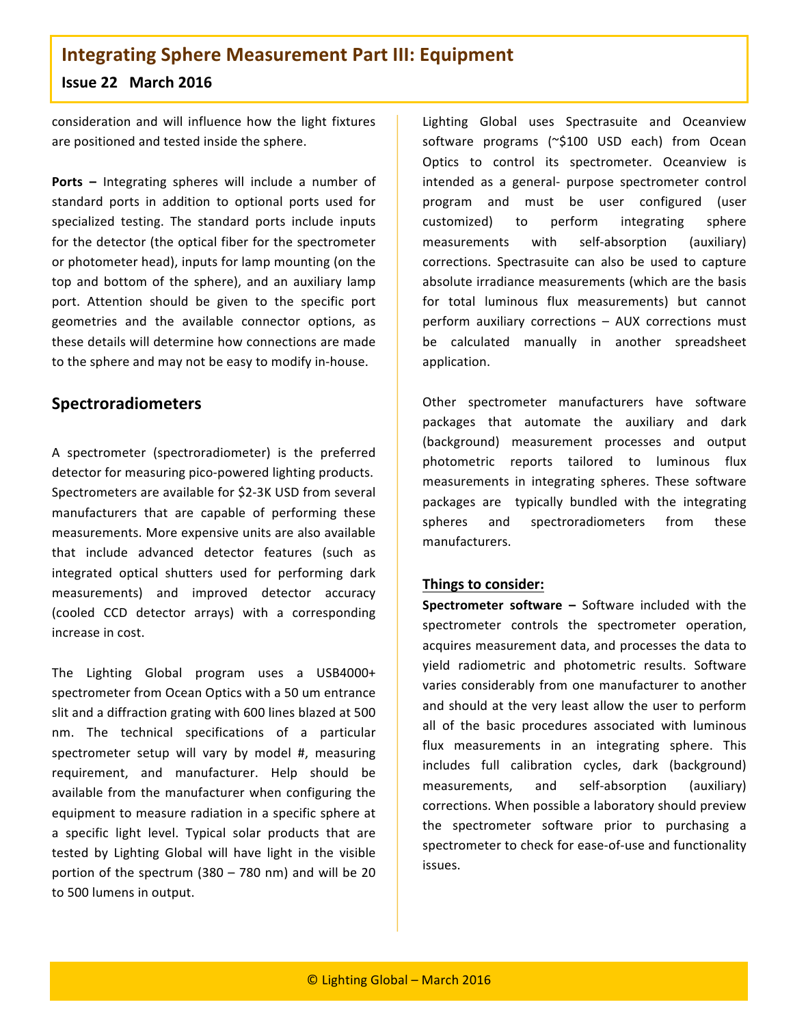# **Integrating Sphere Measurement Part III: Equipment Issue 22 March 2016**

consideration and will influence how the light fixtures are positioned and tested inside the sphere.

**Ports** – Integrating spheres will include a number of standard ports in addition to optional ports used for specialized testing. The standard ports include inputs for the detector (the optical fiber for the spectrometer or photometer head), inputs for lamp mounting (on the top and bottom of the sphere), and an auxiliary lamp port. Attention should be given to the specific port geometries and the available connector options, as these details will determine how connections are made to the sphere and may not be easy to modify in-house.

# **Spectroradiometers**

A spectrometer (spectroradiometer) is the preferred detector for measuring pico-powered lighting products. Spectrometers are available for \$2-3K USD from several manufacturers that are capable of performing these measurements. More expensive units are also available that include advanced detector features (such as integrated optical shutters used for performing dark measurements) and improved detector accuracy (cooled CCD detector arrays) with a corresponding increase in cost.

The Lighting Global program uses a USB4000+ spectrometer from Ocean Optics with a 50 um entrance slit and a diffraction grating with 600 lines blazed at 500 nm. The technical specifications of a particular spectrometer setup will vary by model #, measuring requirement, and manufacturer. Help should be available from the manufacturer when configuring the equipment to measure radiation in a specific sphere at a specific light level. Typical solar products that are tested by Lighting Global will have light in the visible portion of the spectrum (380 – 780 nm) and will be 20 to 500 lumens in output.

Lighting Global uses Spectrasuite and Oceanview software programs (~\$100 USD each) from Ocean Optics to control its spectrometer. Oceanview is intended as a general- purpose spectrometer control program and must be user configured (user customized) to perform integrating sphere measurements with self-absorption (auxiliary) corrections. Spectrasuite can also be used to capture absolute irradiance measurements (which are the basis for total luminous flux measurements) but cannot perform auxiliary corrections  $-$  AUX corrections must be calculated manually in another spreadsheet application.

Other spectrometer manufacturers have software packages that automate the auxiliary and dark (background) measurement processes and output photometric reports tailored to luminous flux measurements in integrating spheres. These software packages are typically bundled with the integrating spheres and spectroradiometers from these manufacturers.!

### **Things to consider:**

**Spectrometer software –** Software included with the spectrometer controls the spectrometer operation, acquires measurement data, and processes the data to yield radiometric and photometric results. Software varies considerably from one manufacturer to another and should at the very least allow the user to perform all of the basic procedures associated with luminous flux measurements in an integrating sphere. This includes full calibration cycles, dark (background) measurements, and self-absorption (auxiliary) corrections. When possible a laboratory should preview the spectrometer software prior to purchasing a spectrometer to check for ease-of-use and functionality issues.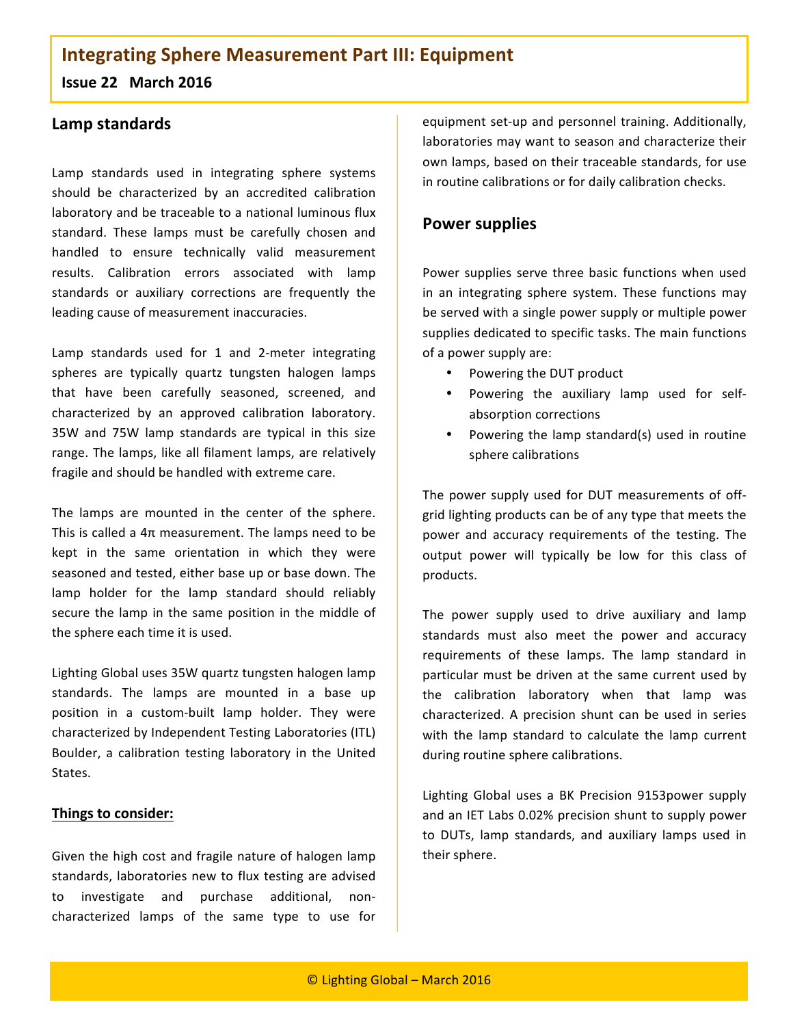# **Integrating Sphere Measurement Part III: Equipment**

**Issue 22 March 2016** 

# Lamp standards

Lamp standards used in integrating sphere systems should be characterized by an accredited calibration laboratory and be traceable to a national luminous flux standard. These lamps must be carefully chosen and handled to ensure technically valid measurement results. Calibration errors associated with lamp standards or auxiliary corrections are frequently the leading cause of measurement inaccuracies.

Lamp standards used for 1 and 2-meter integrating spheres are typically quartz tungsten halogen lamps that have been carefully seasoned, screened, and characterized by an approved calibration laboratory. 35W and 75W lamp standards are typical in this size range. The lamps, like all filament lamps, are relatively fragile and should be handled with extreme care.

The lamps are mounted in the center of the sphere. This is called a  $4\pi$  measurement. The lamps need to be kept in the same orientation in which they were seasoned and tested, either base up or base down. The lamp holder for the lamp standard should reliably secure the lamp in the same position in the middle of the sphere each time it is used.

Lighting Global uses 35W quartz tungsten halogen lamp standards. The lamps are mounted in a base up position in a custom-built lamp holder. They were characterized by Independent Testing Laboratories (ITL) Boulder, a calibration testing laboratory in the United States.

### **Things to consider:**

Given the high cost and fragile nature of halogen lamp standards, laboratories new to flux testing are advised to investigate and purchase additional, noncharacterized lamps of the same type to use for

equipment set-up and personnel training. Additionally, laboratories may want to season and characterize their own lamps, based on their traceable standards, for use in routine calibrations or for daily calibration checks.

# **Power supplies**

Power supplies serve three basic functions when used in an integrating sphere system. These functions may be served with a single power supply or multiple power supplies dedicated to specific tasks. The main functions of a power supply are:

- Powering the DUT product
- Powering the auxiliary lamp used for selfabsorption corrections
- Powering the lamp standard(s) used in routine sphere calibrations

The power supply used for DUT measurements of offgrid lighting products can be of any type that meets the power and accuracy requirements of the testing. The output power will typically be low for this class of products.

The power supply used to drive auxiliary and lamp standards must also meet the power and accuracy requirements of these lamps. The lamp standard in particular must be driven at the same current used by the calibration laboratory when that lamp was characterized. A precision shunt can be used in series with the lamp standard to calculate the lamp current during routine sphere calibrations.

Lighting Global uses a BK Precision 9153power supply and an IET Labs 0.02% precision shunt to supply power to DUTs, lamp standards, and auxiliary lamps used in their sphere.